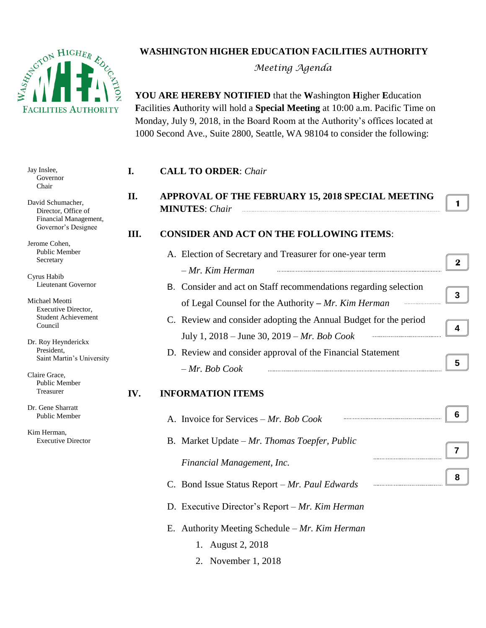

## **WASHINGTON HIGHER EDUCATION FACILITIES AUTHORITY**

*Meeting Agenda*

**YOU ARE HEREBY NOTIFIED** that the **W**ashington **H**igher **E**ducation **F**acilities **A**uthority will hold a **Special Meeting** at 10:00 a.m. Pacific Time on Monday, July 9, 2018, in the Board Room at the Authority's offices located at 1000 Second Ave., Suite 2800, Seattle, WA 98104 to consider the following:

| Jay Inslee,<br>Governor<br>Chair                                  | I.   | <b>CALL TO ORDER: Chair</b>                                      |                  |
|-------------------------------------------------------------------|------|------------------------------------------------------------------|------------------|
|                                                                   | II.  | APPROVAL OF THE FEBRUARY 15, 2018 SPECIAL MEETING                |                  |
| David Schumacher,<br>Director, Office of<br>Financial Management, |      | <b>MINUTES:</b> Chair                                            | 1                |
| Governor's Designee                                               | III. | <b>CONSIDER AND ACT ON THE FOLLOWING ITEMS:</b>                  |                  |
| Jerome Cohen,                                                     |      |                                                                  |                  |
| Public Member<br>Secretary                                        |      | A. Election of Secretary and Treasurer for one-year term         | $\boldsymbol{2}$ |
|                                                                   |      | $-Mr$ . Kim Herman                                               |                  |
| Cyrus Habib<br>Lieutenant Governor                                |      | B. Consider and act on Staff recommendations regarding selection |                  |
| Michael Meotti                                                    |      |                                                                  | 3                |
| Executive Director,                                               |      | of Legal Counsel for the Authority - Mr. Kim Herman              |                  |
| <b>Student Achievement</b><br>Council                             |      | C. Review and consider adopting the Annual Budget for the period |                  |
|                                                                   |      | July 1, 2018 – June 30, 2019 – Mr. Bob Cook                      | 4                |
| Dr. Roy Heynderickx<br>President,                                 |      | D. Review and consider approval of the Financial Statement       |                  |
| Saint Martin's University                                         |      |                                                                  | 5                |
| Claire Grace,                                                     |      | $-Mr. Bob Cook$                                                  |                  |
| Public Member<br>Treasurer                                        | IV.  | <b>INFORMATION ITEMS</b>                                         |                  |
| Dr. Gene Sharratt                                                 |      |                                                                  |                  |
| Public Member                                                     |      | A. Invoice for Services – Mr. Bob Cook                           | 6                |
| Kim Herman,                                                       |      |                                                                  |                  |
| <b>Executive Director</b>                                         |      | B. Market Update $-Mr$ . Thomas Toepfer, Public                  | 7                |
|                                                                   |      | Financial Management, Inc.                                       |                  |
|                                                                   |      |                                                                  |                  |
|                                                                   |      | C. Bond Issue Status Report - Mr. Paul Edwards                   | 8                |
|                                                                   |      | D. Executive Director's Report - Mr. Kim Herman                  |                  |
|                                                                   |      | E. Authority Meeting Schedule - Mr. Kim Herman                   |                  |
|                                                                   |      | 1. August 2, 2018                                                |                  |
|                                                                   |      | 2. November 1, 2018                                              |                  |
|                                                                   |      |                                                                  |                  |